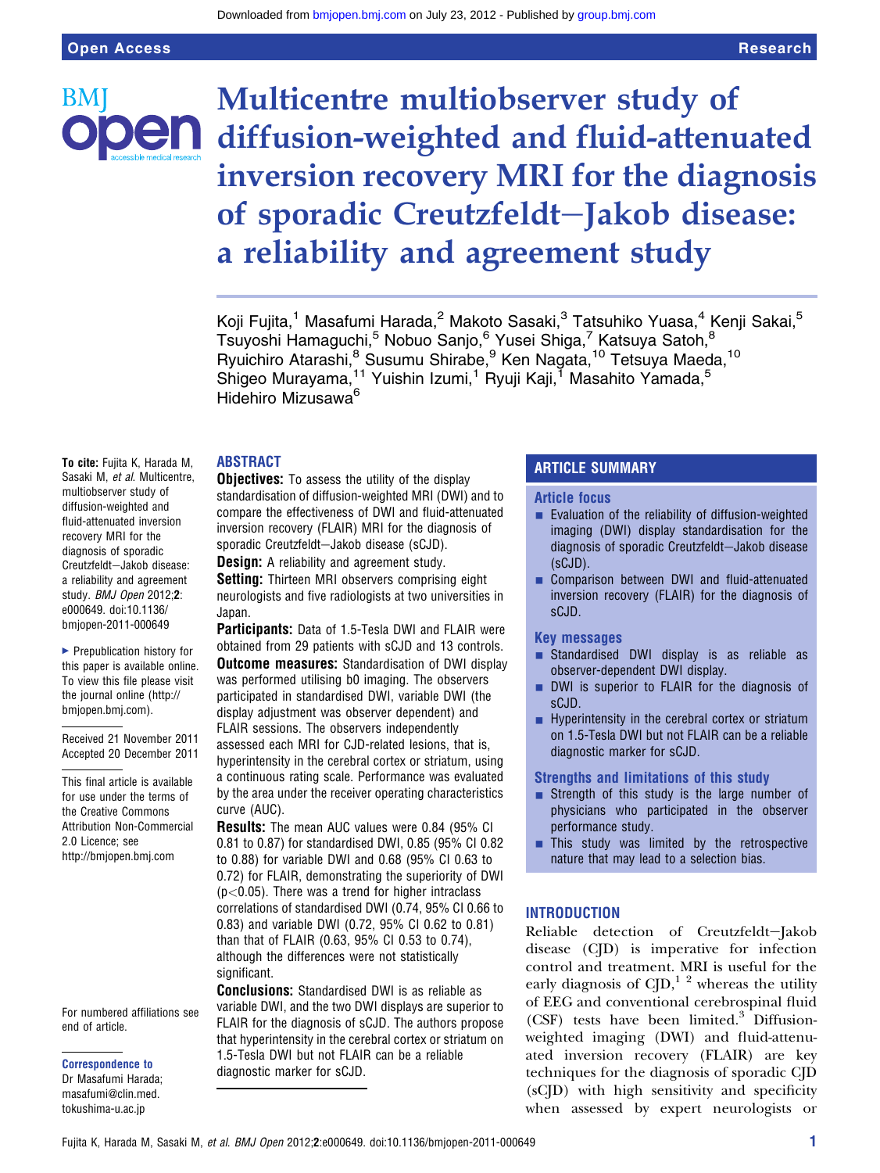BM.

# Multicentre multiobserver study of **en** diffusion-weighted and fluid-attenuated inversion recovery MRI for the diagnosis of sporadic Creutzfeldt-Jakob disease: a reliability and agreement study

Koji Fujita,<sup>1</sup> Masafumi Harada,<sup>2</sup> Makoto Sasaki,<sup>3</sup> Tatsuhiko Yuasa,<sup>4</sup> Kenji Sakai,<sup>5</sup> Tsuyoshi Hamaguchi,<sup>5</sup> Nobuo Sanjo,<sup>6</sup> Yusei Shiga,<sup>7</sup> Katsuya Satoh,<sup>8</sup> Ryuichiro Atarashi, <sup>8</sup> Susumu Shirabe, <sup>9</sup> Ken Nagata, <sup>10</sup> Tetsuya Maeda, <sup>10</sup> Shigeo Murayama,<sup>11</sup> Yuishin Izumi,<sup>1</sup> Ryuji Kaji,<sup>1</sup> Masahito Yamada,<sup>5</sup> Hidehiro Mizusawa<sup>6</sup>

#### ABSTRACT

To cite: Fujita K, Harada M, Sasaki M, et al. Multicentre, multiobserver study of diffusion-weighted and fluid-attenuated inversion recovery MRI for the diagnosis of sporadic Creutzfeldt-Jakob disease: a reliability and agreement study. BMJ Open 2012;2: e000649. doi:10.1136/ bmjopen-2011-000649

▶ Prepublication history for this paper is available online. To view this file please visit the journal online (http:// bmjopen.bmj.com).

Received 21 November 2011 Accepted 20 December 2011

This final article is available for use under the terms of the Creative Commons Attribution Non-Commercial 2.0 Licence; see http://bmjopen.bmj.com

#### For numbered affiliations see end of article.

Correspondence to

Dr Masafumi Harada; masafumi@clin.med. tokushima-u.ac.jp

**Objectives:** To assess the utility of the display standardisation of diffusion-weighted MRI (DWI) and to compare the effectiveness of DWI and fluid-attenuated inversion recovery (FLAIR) MRI for the diagnosis of sporadic Creutzfeldt-Jakob disease (sCJD).

**Design:** A reliability and agreement study.

Setting: Thirteen MRI observers comprising eight neurologists and five radiologists at two universities in Japan.

Participants: Data of 1.5-Tesla DWI and FLAIR were obtained from 29 patients with sCJD and 13 controls. **Outcome measures:** Standardisation of DWI display was performed utilising b0 imaging. The observers participated in standardised DWI, variable DWI (the display adjustment was observer dependent) and FLAIR sessions. The observers independently assessed each MRI for CJD-related lesions, that is, hyperintensity in the cerebral cortex or striatum, using a continuous rating scale. Performance was evaluated by the area under the receiver operating characteristics curve (AUC).

Results: The mean AUC values were 0.84 (95% CI 0.81 to 0.87) for standardised DWI, 0.85 (95% CI 0.82 to 0.88) for variable DWI and 0.68 (95% CI 0.63 to 0.72) for FLAIR, demonstrating the superiority of DWI  $(p<0.05)$ . There was a trend for higher intraclass correlations of standardised DWI (0.74, 95% CI 0.66 to 0.83) and variable DWI (0.72, 95% CI 0.62 to 0.81) than that of FLAIR (0.63, 95% CI 0.53 to 0.74), although the differences were not statistically significant.

Conclusions: Standardised DWI is as reliable as variable DWI, and the two DWI displays are superior to FLAIR for the diagnosis of sCJD. The authors propose that hyperintensity in the cerebral cortex or striatum on 1.5-Tesla DWI but not FLAIR can be a reliable diagnostic marker for sCJD.

### ARTICLE SUMMARY

#### Article focus

- **Exaluation of the reliability of diffusion-weighted** imaging (DWI) display standardisation for the diagnosis of sporadic Creutzfeldt-Jakob disease (sCJD).
- **Comparison between DWI and fluid-attenuated** inversion recovery (FLAIR) for the diagnosis of sCJD.

#### Key messages

- **Burgin** Standardised DWI display is as reliable as observer-dependent DWI display.
- **DWI** is superior to FLAIR for the diagnosis of sCJD.
- $\blacksquare$  Hyperintensity in the cerebral cortex or striatum on 1.5-Tesla DWI but not FLAIR can be a reliable diagnostic marker for sCJD.

#### Strengths and limitations of this study

- $\blacksquare$  Strength of this study is the large number of physicians who participated in the observer performance study.
- **-** This study was limited by the retrospective nature that may lead to a selection bias.

#### **INTRODUCTION**

Reliable detection of Creutzfeldt-Jakob disease (CJD) is imperative for infection control and treatment. MRI is useful for the early diagnosis of CJD,<sup>12</sup> whereas the utility of EEG and conventional cerebrospinal fluid  $(CSF)$  tests have been limited.<sup>3</sup> Diffusionweighted imaging (DWI) and fluid-attenuated inversion recovery (FLAIR) are key techniques for the diagnosis of sporadic CJD (sCJD) with high sensitivity and specificity when assessed by expert neurologists or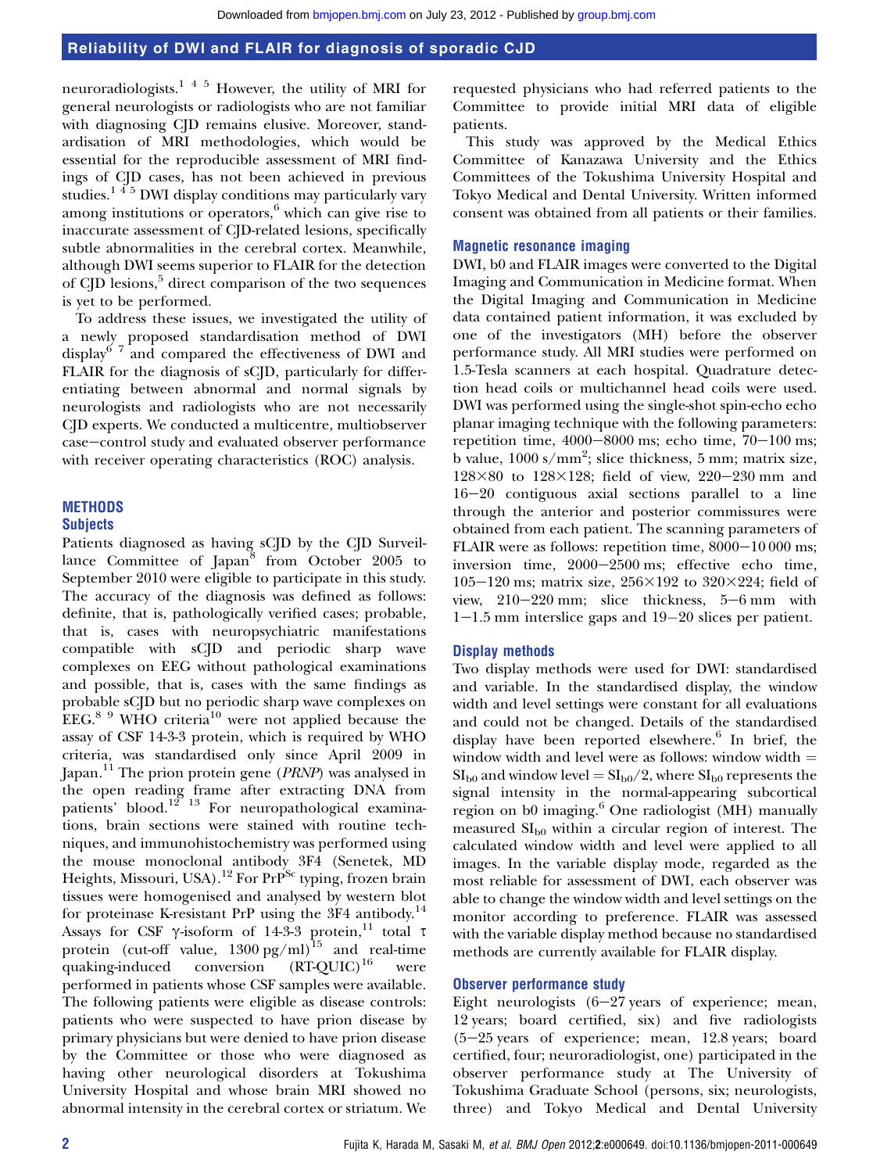neuroradiologists.<sup>145</sup> However, the utility of MRI for general neurologists or radiologists who are not familiar with diagnosing CJD remains elusive. Moreover, standardisation of MRI methodologies, which would be essential for the reproducible assessment of MRI findings of CJD cases, has not been achieved in previous studies.<sup>145</sup> DWI display conditions may particularly vary among institutions or operators, $6$  which can give rise to inaccurate assessment of CJD-related lesions, specifically subtle abnormalities in the cerebral cortex. Meanwhile, although DWI seems superior to FLAIR for the detection of CJD lesions, $5$  direct comparison of the two sequences is yet to be performed.

To address these issues, we investigated the utility of a newly proposed standardisation method of DWI display<sup>6 7</sup> and compared the effectiveness of DWI and FLAIR for the diagnosis of sCJD, particularly for differentiating between abnormal and normal signals by neurologists and radiologists who are not necessarily CJD experts. We conducted a multicentre, multiobserver case-control study and evaluated observer performance with receiver operating characteristics (ROC) analysis.

# METHODS

# **Subjects**

Patients diagnosed as having sCJD by the CJD Surveillance Committee of Japan $8$  from October 2005 to September 2010 were eligible to participate in this study. The accuracy of the diagnosis was defined as follows: definite, that is, pathologically verified cases; probable, that is, cases with neuropsychiatric manifestations compatible with sCJD and periodic sharp wave complexes on EEG without pathological examinations and possible, that is, cases with the same findings as probable sCJD but no periodic sharp wave complexes on  $EEG<sup>89</sup>$  WHO criteria<sup>10</sup> were not applied because the assay of CSF 14-3-3 protein, which is required by WHO criteria, was standardised only since April 2009 in Japan.<sup>11</sup> The prion protein gene (PRNP) was analysed in the open reading frame after extracting DNA from patients' blood.<sup>12 13</sup> For neuropathological examinations, brain sections were stained with routine techniques, and immunohistochemistry was performed using the mouse monoclonal antibody 3F4 (Senetek, MD Heights, Missouri, USA).<sup>12</sup> For PrP<sup>Sc</sup> typing, frozen brain tissues were homogenised and analysed by western blot for proteinase K-resistant PrP using the 3F4 antibody.<sup>14</sup> Assays for CSF  $\gamma$ -isoform of 14-3-3 protein, $^{11}$  total  $\tau$ <br>protein (cut-off value, 1300 pg/ml)<sup>15</sup> and real-time quaking-induced conversion  $(RT\text{-}QUIC)^{16}$  were performed in patients whose CSF samples were available. The following patients were eligible as disease controls: patients who were suspected to have prion disease by primary physicians but were denied to have prion disease by the Committee or those who were diagnosed as having other neurological disorders at Tokushima University Hospital and whose brain MRI showed no abnormal intensity in the cerebral cortex or striatum. We requested physicians who had referred patients to the Committee to provide initial MRI data of eligible patients.

This study was approved by the Medical Ethics Committee of Kanazawa University and the Ethics Committees of the Tokushima University Hospital and Tokyo Medical and Dental University. Written informed consent was obtained from all patients or their families.

#### Magnetic resonance imaging

DWI, b0 and FLAIR images were converted to the Digital Imaging and Communication in Medicine format. When the Digital Imaging and Communication in Medicine data contained patient information, it was excluded by one of the investigators (MH) before the observer performance study. All MRI studies were performed on 1.5-Tesla scanners at each hospital. Quadrature detection head coils or multichannel head coils were used. DWI was performed using the single-shot spin-echo echo planar imaging technique with the following parameters: repetition time,  $4000-8000$  ms; echo time,  $70-100$  ms; b value, 1000 s/mm<sup>2</sup>; slice thickness, 5 mm; matrix size,  $128\times80$  to  $128\times128$ ; field of view,  $220-230$  mm and  $16-20$  contiguous axial sections parallel to a line through the anterior and posterior commissures were obtained from each patient. The scanning parameters of FLAIR were as follows: repetition time,  $8000-10000$  ms; inversion time,  $2000-2500$  ms; effective echo time, 105-120 ms; matrix size,  $256\times192$  to  $320\times224$ ; field of view,  $210-220$  mm; slice thickness,  $5-6$  mm with  $1-1.5$  mm interslice gaps and  $19-20$  slices per patient.

#### Display methods

Two display methods were used for DWI: standardised and variable. In the standardised display, the window width and level settings were constant for all evaluations and could not be changed. Details of the standardised display have been reported elsewhere. $6$  In brief, the window width and level were as follows: window width  $=$  $SI_{b0}$  and window level =  $SI_{b0}/2$ , where  $SI_{b0}$  represents the signal intensity in the normal-appearing subcortical region on b0 imaging. $6$  One radiologist (MH) manually measured  $SI<sub>b0</sub>$  within a circular region of interest. The calculated window width and level were applied to all images. In the variable display mode, regarded as the most reliable for assessment of DWI, each observer was able to change the window width and level settings on the monitor according to preference. FLAIR was assessed with the variable display method because no standardised methods are currently available for FLAIR display.

#### Observer performance study

Eight neurologists  $(6-27)$  years of experience; mean, 12 years; board certified, six) and five radiologists  $(5-25 \text{ years of experience}; \text{ mean}, 12.8 \text{ years}; \text{ board})$ certified, four; neuroradiologist, one) participated in the observer performance study at The University of Tokushima Graduate School (persons, six; neurologists, three) and Tokyo Medical and Dental University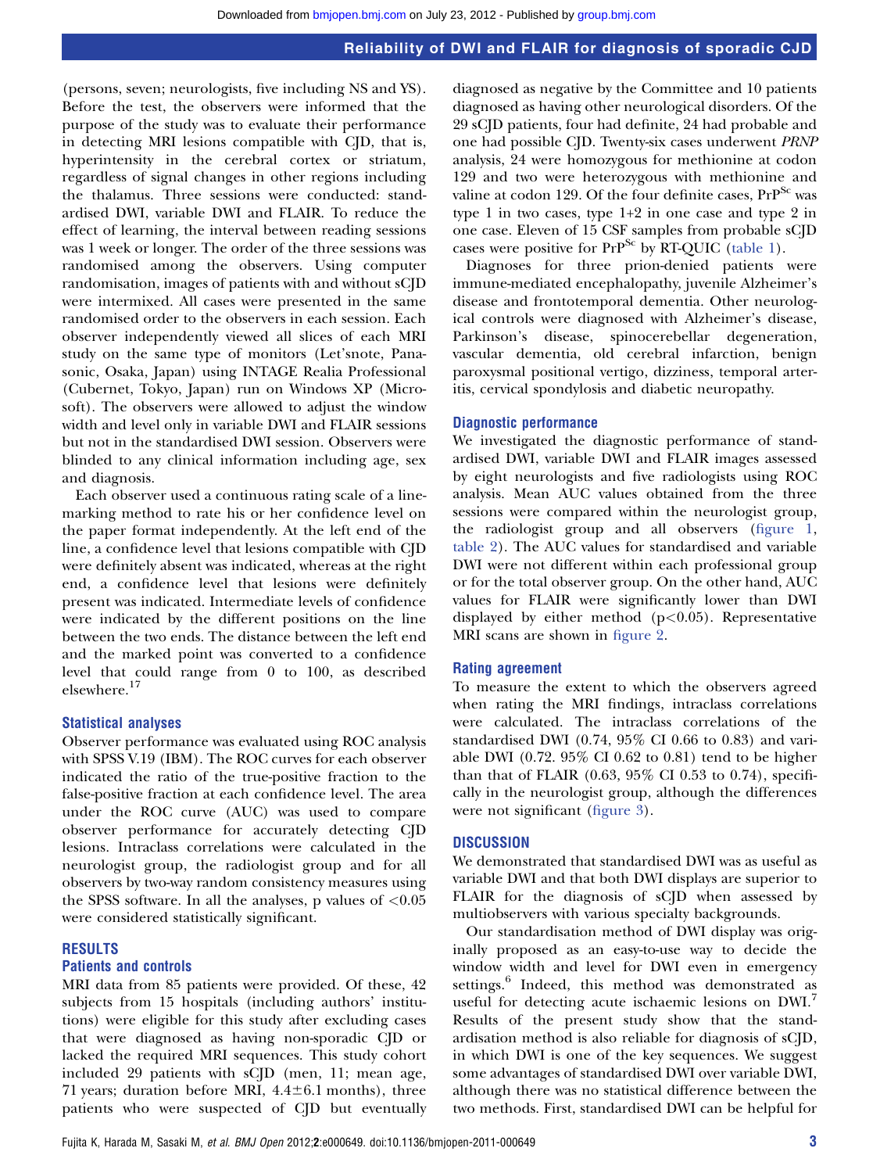(persons, seven; neurologists, five including NS and YS). Before the test, the observers were informed that the purpose of the study was to evaluate their performance in detecting MRI lesions compatible with CJD, that is, hyperintensity in the cerebral cortex or striatum, regardless of signal changes in other regions including the thalamus. Three sessions were conducted: standardised DWI, variable DWI and FLAIR. To reduce the effect of learning, the interval between reading sessions was 1 week or longer. The order of the three sessions was randomised among the observers. Using computer randomisation, images of patients with and without sCJD were intermixed. All cases were presented in the same randomised order to the observers in each session. Each observer independently viewed all slices of each MRI study on the same type of monitors (Let'snote, Panasonic, Osaka, Japan) using INTAGE Realia Professional (Cubernet, Tokyo, Japan) run on Windows XP (Microsoft). The observers were allowed to adjust the window width and level only in variable DWI and FLAIR sessions but not in the standardised DWI session. Observers were blinded to any clinical information including age, sex and diagnosis.

Each observer used a continuous rating scale of a linemarking method to rate his or her confidence level on the paper format independently. At the left end of the line, a confidence level that lesions compatible with CJD were definitely absent was indicated, whereas at the right end, a confidence level that lesions were definitely present was indicated. Intermediate levels of confidence were indicated by the different positions on the line between the two ends. The distance between the left end and the marked point was converted to a confidence level that could range from 0 to 100, as described elsewhere.<sup>17</sup>

### Statistical analyses

Observer performance was evaluated using ROC analysis with SPSS V.19 (IBM). The ROC curves for each observer indicated the ratio of the true-positive fraction to the false-positive fraction at each confidence level. The area under the ROC curve (AUC) was used to compare observer performance for accurately detecting CJD lesions. Intraclass correlations were calculated in the neurologist group, the radiologist group and for all observers by two-way random consistency measures using the SPSS software. In all the analyses, p values of  $< 0.05$ were considered statistically significant.

#### RESULTS

#### Patients and controls

MRI data from 85 patients were provided. Of these, 42 subjects from 15 hospitals (including authors' institutions) were eligible for this study after excluding cases that were diagnosed as having non-sporadic CJD or lacked the required MRI sequences. This study cohort included 29 patients with sCJD (men, 11; mean age, 71 years; duration before MRI,  $4.4 \pm 6.1$  months), three patients who were suspected of CJD but eventually

diagnosed as negative by the Committee and 10 patients diagnosed as having other neurological disorders. Of the 29 sCJD patients, four had definite, 24 had probable and one had possible CJD. Twenty-six cases underwent PRNP analysis, 24 were homozygous for methionine at codon 129 and two were heterozygous with methionine and valine at codon 129. Of the four definite cases,  $Pr^{Sc}$  was type 1 in two cases, type 1+2 in one case and type 2 in one case. Eleven of 15 CSF samples from probable sCJD cases were positive for  $PrP^{Sc}$  by RT-QUIC (table 1).

Diagnoses for three prion-denied patients were immune-mediated encephalopathy, juvenile Alzheimer's disease and frontotemporal dementia. Other neurological controls were diagnosed with Alzheimer's disease, Parkinson's disease, spinocerebellar degeneration, vascular dementia, old cerebral infarction, benign paroxysmal positional vertigo, dizziness, temporal arteritis, cervical spondylosis and diabetic neuropathy.

#### Diagnostic performance

We investigated the diagnostic performance of standardised DWI, variable DWI and FLAIR images assessed by eight neurologists and five radiologists using ROC analysis. Mean AUC values obtained from the three sessions were compared within the neurologist group, the radiologist group and all observers (figure 1, table 2). The AUC values for standardised and variable DWI were not different within each professional group or for the total observer group. On the other hand, AUC values for FLAIR were significantly lower than DWI displayed by either method  $(p<0.05)$ . Representative MRI scans are shown in figure 2.

#### Rating agreement

To measure the extent to which the observers agreed when rating the MRI findings, intraclass correlations were calculated. The intraclass correlations of the standardised DWI (0.74, 95% CI 0.66 to 0.83) and variable DWI (0.72. 95% CI 0.62 to 0.81) tend to be higher than that of FLAIR (0.63, 95% CI 0.53 to 0.74), specifically in the neurologist group, although the differences were not significant (figure 3).

#### **DISCUSSION**

We demonstrated that standardised DWI was as useful as variable DWI and that both DWI displays are superior to FLAIR for the diagnosis of sCJD when assessed by multiobservers with various specialty backgrounds.

Our standardisation method of DWI display was originally proposed as an easy-to-use way to decide the window width and level for DWI even in emergency settings.<sup>6</sup> Indeed, this method was demonstrated as useful for detecting acute ischaemic lesions on DWI.<sup>7</sup> Results of the present study show that the standardisation method is also reliable for diagnosis of sCJD, in which DWI is one of the key sequences. We suggest some advantages of standardised DWI over variable DWI, although there was no statistical difference between the two methods. First, standardised DWI can be helpful for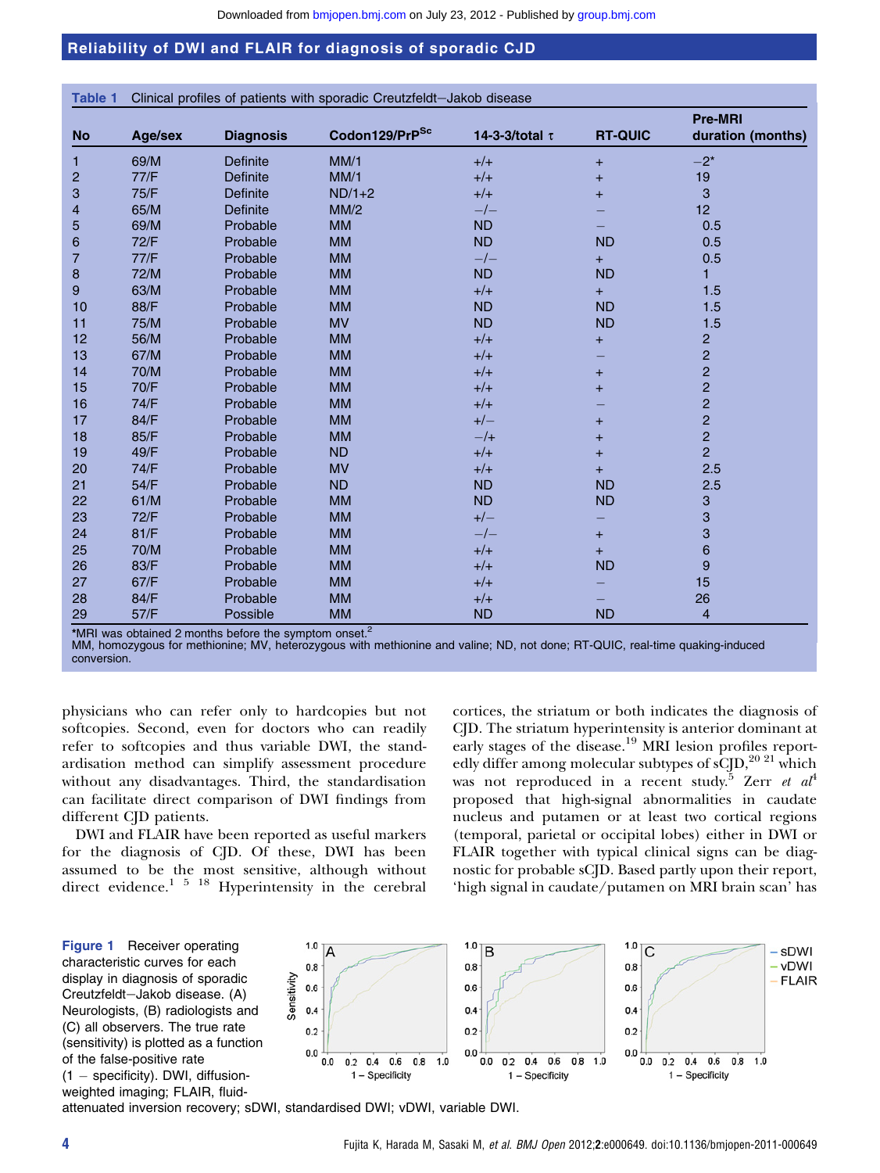| <b>Table 1</b> | Clinical profiles of patients with sporadic Creutzfeldt-Jakob disease |                  |                |                |                |                                     |  |
|----------------|-----------------------------------------------------------------------|------------------|----------------|----------------|----------------|-------------------------------------|--|
| <b>No</b>      | Age/sex                                                               | <b>Diagnosis</b> | Codon129/PrPSc | 14-3-3/total τ | <b>RT-QUIC</b> | <b>Pre-MRI</b><br>duration (months) |  |
| 1              | 69/M                                                                  | Definite         | MM/1           | $+/-$          | $+$            | $-2^{*}$                            |  |
| $\overline{c}$ | 77/F                                                                  | Definite         | MM/1           | $+/+$          | $+$            | 19                                  |  |
| 3              | 75/F                                                                  | <b>Definite</b>  | $ND/1+2$       | $+/+$          | $+$            | 3                                   |  |
| 4              | 65/M                                                                  | <b>Definite</b>  | MM/2           | $-/-$          |                | 12                                  |  |
| 5              | 69/M                                                                  | Probable         | <b>MM</b>      | <b>ND</b>      |                | 0.5                                 |  |
| 6              | 72/F                                                                  | Probable         | <b>MM</b>      | <b>ND</b>      | <b>ND</b>      | 0.5                                 |  |
| $\overline{7}$ | 77/F                                                                  | Probable         | <b>MM</b>      | $-/-$          | $+$            | 0.5                                 |  |
| 8              | 72/M                                                                  | Probable         | <b>MM</b>      | <b>ND</b>      | <b>ND</b>      | 1                                   |  |
| 9              | 63/M                                                                  | Probable         | <b>MM</b>      | $+/-$          | $+$            | 1.5                                 |  |
| 10             | 88/F                                                                  | Probable         | <b>MM</b>      | <b>ND</b>      | <b>ND</b>      | 1.5                                 |  |
| 11             | 75/M                                                                  | Probable         | <b>MV</b>      | <b>ND</b>      | <b>ND</b>      | 1.5                                 |  |
| 12             | 56/M                                                                  | Probable         | <b>MM</b>      | $+/+$          | $+$            | $\overline{c}$                      |  |
| 13             | 67/M                                                                  | Probable         | <b>MM</b>      | $+/+$          |                | $\overline{c}$                      |  |
| 14             | 70/M                                                                  | Probable         | <b>MM</b>      | $+/+$          | $+$            | $\overline{c}$                      |  |
| 15             | 70/F                                                                  | Probable         | <b>MM</b>      | $+/-$          | $+$            | $\overline{a}$                      |  |
| 16             | 74/F                                                                  | Probable         | <b>MM</b>      | $+/+$          |                | $\overline{c}$                      |  |
| 17             | 84/F                                                                  | Probable         | <b>MM</b>      | $+/-$          | $+$            | $\overline{c}$                      |  |
| 18             | 85/F                                                                  | Probable         | <b>MM</b>      | $-$ /+         | $+$            | $\overline{2}$                      |  |
| 19             | 49/F                                                                  | Probable         | <b>ND</b>      | $+/-$          | $+$            | $\overline{a}$                      |  |
| 20             | 74/F                                                                  | Probable         | <b>MV</b>      | $+/-$          | $+$            | 2.5                                 |  |
| 21             | 54/F                                                                  | Probable         | <b>ND</b>      | <b>ND</b>      | <b>ND</b>      | 2.5                                 |  |
| 22             | 61/M                                                                  | Probable         | <b>MM</b>      | <b>ND</b>      | <b>ND</b>      | 3                                   |  |
| 23             | 72/F                                                                  | Probable         | <b>MM</b>      | $+/-$          |                | 3                                   |  |
| 24             | 81/F                                                                  | Probable         | <b>MM</b>      | $-/-$          | $+$            | 3                                   |  |
| 25             | 70/M                                                                  | Probable         | <b>MM</b>      | $+/-$          | $+$            | 6                                   |  |
| 26             | 83/F                                                                  | Probable         | <b>MM</b>      | $+/-$          | <b>ND</b>      | 9                                   |  |
| 27             | 67/F                                                                  | Probable         | <b>MM</b>      | $+/-$          |                | 15                                  |  |
| 28             | 84/F                                                                  | Probable         | <b>MM</b>      | $+/-$          |                | 26                                  |  |
| 29             | 57/F                                                                  | Possible         | <b>MM</b>      | <b>ND</b>      | <b>ND</b>      | $\overline{4}$                      |  |

\*MRI was obtained 2 months before the symptom onset.<sup>2</sup><br>MM, homozygous for methionine; MV, heterozygous with methionine and valine; ND, not done; RT-QUIC, real-time quaking-induced conversion.

physicians who can refer only to hardcopies but not softcopies. Second, even for doctors who can readily refer to softcopies and thus variable DWI, the standardisation method can simplify assessment procedure without any disadvantages. Third, the standardisation can facilitate direct comparison of DWI findings from different CJD patients.

DWI and FLAIR have been reported as useful markers for the diagnosis of CJD. Of these, DWI has been assumed to be the most sensitive, although without direct evidence.<sup>1 5 18</sup> Hyperintensity in the cerebral

cortices, the striatum or both indicates the diagnosis of CJD. The striatum hyperintensity is anterior dominant at early stages of the disease.<sup>19</sup> MRI lesion profiles reportedly differ among molecular subtypes of  $sC/D$ ,<sup>20 21</sup> which was not reproduced in a recent study.<sup>5</sup> Zerr et  $a t^4$ proposed that high-signal abnormalities in caudate nucleus and putamen or at least two cortical regions (temporal, parietal or occipital lobes) either in DWI or FLAIR together with typical clinical signs can be diagnostic for probable sCJD. Based partly upon their report, 'high signal in caudate/putamen on MRI brain scan' has

Figure 1 Receiver operating characteristic curves for each display in diagnosis of sporadic Creutzfeldt-Jakob disease. (A) Neurologists, (B) radiologists and (C) all observers. The true rate (sensitivity) is plotted as a function of the false-positive rate  $(1 -$  specificity). DWI, diffusionweighted imaging; FLAIR, fluid-



attenuated inversion recovery; sDWI, standardised DWI; vDWI, variable DWI.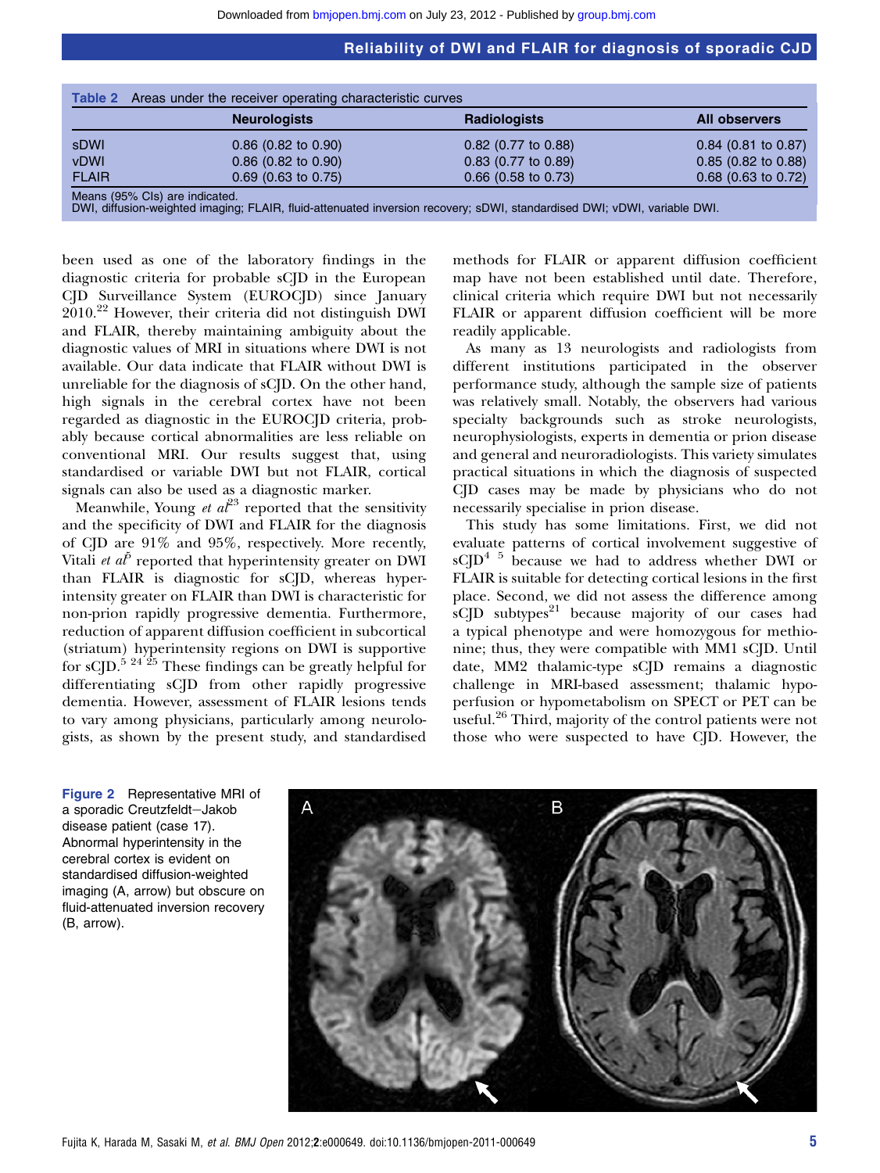|              | <b>Neurologists</b>   | <b>Radiologists</b>   | <b>All observers</b>  |
|--------------|-----------------------|-----------------------|-----------------------|
| sDWI         | $0.86$ (0.82 to 0.90) | $0.82$ (0.77 to 0.88) | $0.84$ (0.81 to 0.87) |
| <b>vDWI</b>  | $0.86$ (0.82 to 0.90) | $0.83$ (0.77 to 0.89) | $0.85$ (0.82 to 0.88) |
| <b>FLAIR</b> | $0.69$ (0.63 to 0.75) | $0.66$ (0.58 to 0.73) | $0.68$ (0.63 to 0.72) |

DWI, diffusion-weighted imaging; FLAIR, fluid-attenuated inversion recovery; sDWI, standardised DWI; vDWI, variable DWI.

been used as one of the laboratory findings in the diagnostic criteria for probable sCJD in the European CJD Surveillance System (EUROCJD) since January 2010.22 However, their criteria did not distinguish DWI and FLAIR, thereby maintaining ambiguity about the diagnostic values of MRI in situations where DWI is not available. Our data indicate that FLAIR without DWI is unreliable for the diagnosis of sCJD. On the other hand, high signals in the cerebral cortex have not been regarded as diagnostic in the EUROCJD criteria, probably because cortical abnormalities are less reliable on conventional MRI. Our results suggest that, using standardised or variable DWI but not FLAIR, cortical signals can also be used as a diagnostic marker.

Meanwhile, Young et  $a<sup>23</sup>$  reported that the sensitivity and the specificity of DWI and FLAIR for the diagnosis of CJD are 91% and 95%, respectively. More recently, Vitali *et a* $\bar{p}$  reported that hyperintensity greater on DWI than FLAIR is diagnostic for sCJD, whereas hyperintensity greater on FLAIR than DWI is characteristic for non-prion rapidly progressive dementia. Furthermore, reduction of apparent diffusion coefficient in subcortical (striatum) hyperintensity regions on DWI is supportive for sCJD.<sup>5 24 25</sup> These findings can be greatly helpful for differentiating sCJD from other rapidly progressive dementia. However, assessment of FLAIR lesions tends to vary among physicians, particularly among neurologists, as shown by the present study, and standardised methods for FLAIR or apparent diffusion coefficient map have not been established until date. Therefore, clinical criteria which require DWI but not necessarily FLAIR or apparent diffusion coefficient will be more readily applicable.

As many as 13 neurologists and radiologists from different institutions participated in the observer performance study, although the sample size of patients was relatively small. Notably, the observers had various specialty backgrounds such as stroke neurologists, neurophysiologists, experts in dementia or prion disease and general and neuroradiologists. This variety simulates practical situations in which the diagnosis of suspected CJD cases may be made by physicians who do not necessarily specialise in prion disease.

This study has some limitations. First, we did not evaluate patterns of cortical involvement suggestive of  $sC/D<sup>4-5</sup>$  because we had to address whether DWI or FLAIR is suitable for detecting cortical lesions in the first place. Second, we did not assess the difference among  $sC/D$  subtypes<sup>21</sup> because majority of our cases had a typical phenotype and were homozygous for methionine; thus, they were compatible with MM1 sCJD. Until date, MM2 thalamic-type sCJD remains a diagnostic challenge in MRI-based assessment; thalamic hypoperfusion or hypometabolism on SPECT or PET can be useful.26 Third, majority of the control patients were not those who were suspected to have CJD. However, the

Figure 2 Representative MRI of a sporadic Creutzfeldt-Jakob disease patient (case 17). Abnormal hyperintensity in the cerebral cortex is evident on standardised diffusion-weighted imaging (A, arrow) but obscure on fluid-attenuated inversion recovery (B, arrow).

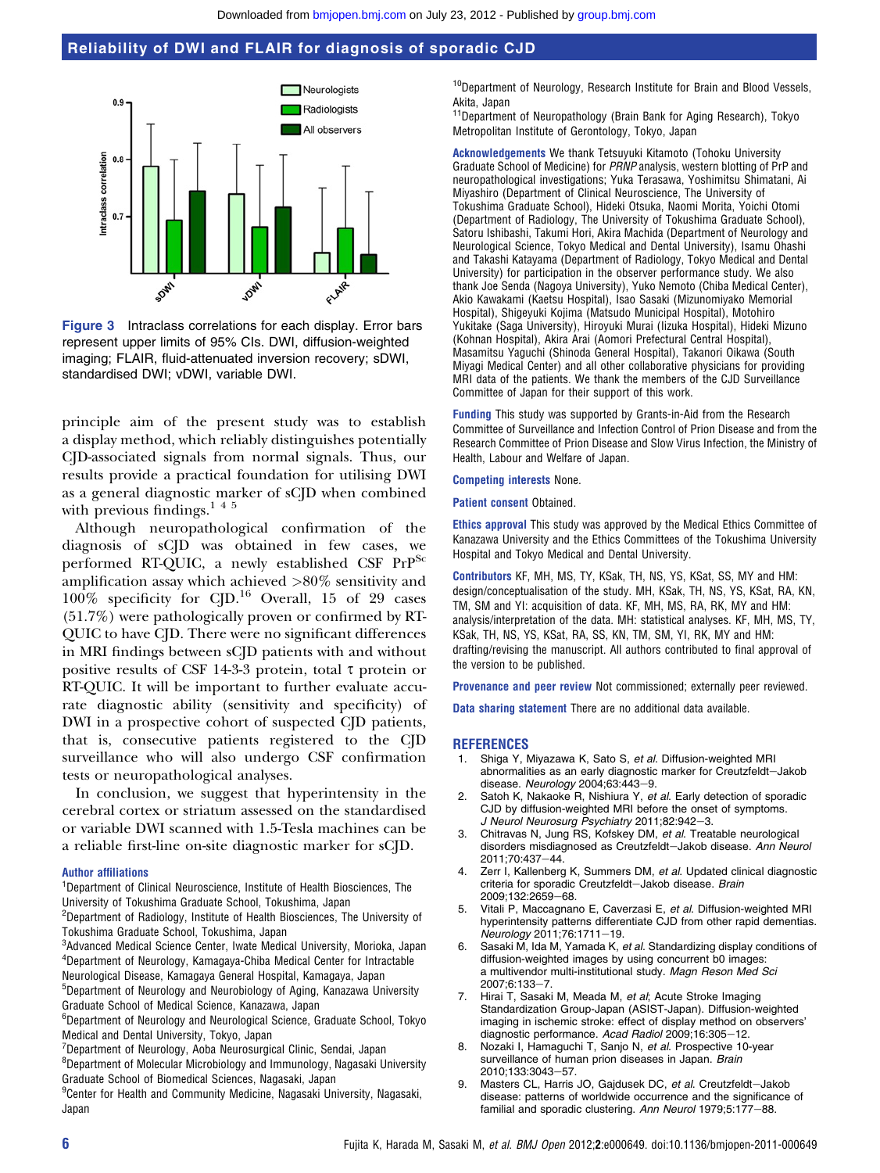

Figure 3 Intraclass correlations for each display. Error bars represent upper limits of 95% CIs. DWI, diffusion-weighted imaging; FLAIR, fluid-attenuated inversion recovery; sDWI, standardised DWI; vDWI, variable DWI.

principle aim of the present study was to establish a display method, which reliably distinguishes potentially CJD-associated signals from normal signals. Thus, our results provide a practical foundation for utilising DWI as a general diagnostic marker of sCJD when combined with previous findings.<sup>145</sup>

Although neuropathological confirmation of the diagnosis of sCJD was obtained in few cases, we performed RT-QUIC, a newly established CSF PrP<sup>Sc</sup> amplification assay which achieved >80% sensitivity and  $100\%$  specificity for CJD.<sup>16</sup> Overall, 15 of 29 cases (51.7%) were pathologically proven or confirmed by RT-QUIC to have CJD. There were no significant differences in MRI findings between sCJD patients with and without positive results of CSF 14-3-3 protein, total  $\tau$  protein or RT-QUIC. It will be important to further evaluate accurate diagnostic ability (sensitivity and specificity) of DWI in a prospective cohort of suspected CJD patients, that is, consecutive patients registered to the CJD surveillance who will also undergo CSF confirmation tests or neuropathological analyses.

In conclusion, we suggest that hyperintensity in the cerebral cortex or striatum assessed on the standardised or variable DWI scanned with 1.5-Tesla machines can be a reliable first-line on-site diagnostic marker for sCJD.

#### Author affiliations

<sup>1</sup>Department of Clinical Neuroscience, Institute of Health Biosciences, The University of Tokushima Graduate School, Tokushima, Japan

<sup>2</sup>Department of Radiology, Institute of Health Biosciences, The University of Tokushima Graduate School, Tokushima, Japan

<sup>3</sup>Advanced Medical Science Center, Iwate Medical University, Morioka, Japan 4 Department of Neurology, Kamagaya-Chiba Medical Center for Intractable Neurological Disease, Kamagaya General Hospital, Kamagaya, Japan

 $^5$ Department of Neurology and Neurobiology of Aging, Kanazawa University Graduate School of Medical Science, Kanazawa, Japan

6 Department of Neurology and Neurological Science, Graduate School, Tokyo Medical and Dental University, Tokyo, Japan

<sup>7</sup>Department of Neurology, Aoba Neurosurgical Clinic, Sendai, Japan

 $^8$ Department of Molecular Microbiology and Immunology, Nagasaki University Graduate School of Biomedical Sciences, Nagasaki, Japan

<sup>9</sup>Center for Health and Community Medicine, Nagasaki University, Nagasaki, Japan

<sup>10</sup>Department of Neurology, Research Institute for Brain and Blood Vessels, Akita, Japan

<sup>11</sup>Department of Neuropathology (Brain Bank for Aging Research), Tokyo Metropolitan Institute of Gerontology, Tokyo, Japan

Acknowledgements We thank Tetsuyuki Kitamoto (Tohoku University Graduate School of Medicine) for PRNP analysis, western blotting of PrP and neuropathological investigations; Yuka Terasawa, Yoshimitsu Shimatani, Ai Miyashiro (Department of Clinical Neuroscience, The University of Tokushima Graduate School), Hideki Otsuka, Naomi Morita, Yoichi Otomi (Department of Radiology, The University of Tokushima Graduate School), Satoru Ishibashi, Takumi Hori, Akira Machida (Department of Neurology and Neurological Science, Tokyo Medical and Dental University), Isamu Ohashi and Takashi Katayama (Department of Radiology, Tokyo Medical and Dental University) for participation in the observer performance study. We also thank Joe Senda (Nagoya University), Yuko Nemoto (Chiba Medical Center), Akio Kawakami (Kaetsu Hospital), Isao Sasaki (Mizunomiyako Memorial Hospital), Shigeyuki Kojima (Matsudo Municipal Hospital), Motohiro Yukitake (Saga University), Hiroyuki Murai (Iizuka Hospital), Hideki Mizuno (Kohnan Hospital), Akira Arai (Aomori Prefectural Central Hospital), Masamitsu Yaguchi (Shinoda General Hospital), Takanori Oikawa (South Miyagi Medical Center) and all other collaborative physicians for providing MRI data of the patients. We thank the members of the CJD Surveillance Committee of Japan for their support of this work.

Funding This study was supported by Grants-in-Aid from the Research Committee of Surveillance and Infection Control of Prion Disease and from the Research Committee of Prion Disease and Slow Virus Infection, the Ministry of Health, Labour and Welfare of Japan.

#### Competing interests None.

#### Patient consent Obtained.

Ethics approval This study was approved by the Medical Ethics Committee of Kanazawa University and the Ethics Committees of the Tokushima University Hospital and Tokyo Medical and Dental University.

Contributors KF, MH, MS, TY, KSak, TH, NS, YS, KSat, SS, MY and HM: design/conceptualisation of the study. MH, KSak, TH, NS, YS, KSat, RA, KN, TM, SM and YI: acquisition of data. KF, MH, MS, RA, RK, MY and HM: analysis/interpretation of the data. MH: statistical analyses. KF, MH, MS, TY, KSak, TH, NS, YS, KSat, RA, SS, KN, TM, SM, YI, RK, MY and HM: drafting/revising the manuscript. All authors contributed to final approval of the version to be published.

Provenance and peer review Not commissioned; externally peer reviewed.

Data sharing statement There are no additional data available.

#### REFERENCES

- 1. Shiga Y, Miyazawa K, Sato S, et al. Diffusion-weighted MRI abnormalities as an early diagnostic marker for Creutzfeldt-Jakob disease. Neurology  $2004;63:443-9$ .
- Satoh K, Nakaoke R, Nishiura Y, et al. Early detection of sporadic CJD by diffusion-weighted MRI before the onset of symptoms. J Neurol Neurosurg Psychiatry 2011;82:942-3.
- 3. Chitravas N, Jung RS, Kofskey DM, et al. Treatable neurological disorders misdiagnosed as Creutzfeldt-Jakob disease. Ann Neurol 2011;70:437-44
- Zerr I, Kallenberg K, Summers DM, et al. Updated clinical diagnostic criteria for sporadic Creutzfeldt-Jakob disease. Brain 2009:132:2659-68.
- 5. Vitali P, Maccagnano E, Caverzasi E, et al. Diffusion-weighted MRI hyperintensity patterns differentiate CJD from other rapid dementias. Neurology 2011;76:1711-19.
- Sasaki M, Ida M, Yamada K, et al. Standardizing display conditions of diffusion-weighted images by using concurrent b0 images: a multivendor multi-institutional study. Magn Reson Med Sci 2007;6:133-7.
- 7. Hirai T, Sasaki M, Meada M, et al; Acute Stroke Imaging Standardization Group-Japan (ASIST-Japan). Diffusion-weighted imaging in ischemic stroke: effect of display method on observers' diagnostic performance. Acad Radiol 2009;16:305-12.
- 8. Nozaki I, Hamaguchi T, Sanjo N, et al. Prospective 10-year surveillance of human prion diseases in Japan. Brain 2010;133:3043-57.
- 9. Masters CL, Harris JO, Gajdusek DC, et al. Creutzfeldt-Jakob disease: patterns of worldwide occurrence and the significance of familial and sporadic clustering. Ann Neurol 1979;5:177-88.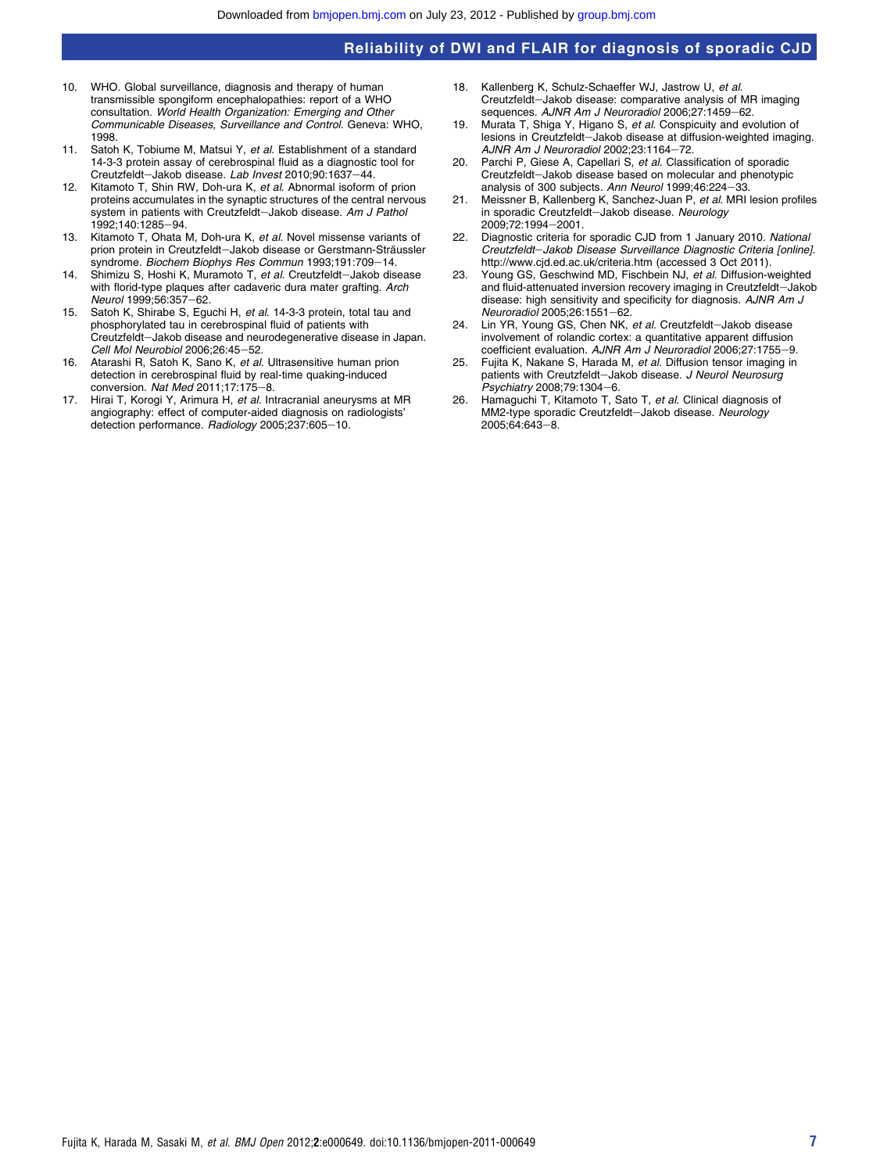- 10. WHO. Global surveillance, diagnosis and therapy of human transmissible spongiform encephalopathies: report of a WHO consultation. World Health Organization: Emerging and Other Communicable Diseases, Surveillance and Control. Geneva: WHO, 1998.
- 11. Satoh K, Tobiume M, Matsui Y, et al. Establishment of a standard 14-3-3 protein assay of cerebrospinal fluid as a diagnostic tool for Creutzfeldt-Jakob disease. Lab Invest 2010;90:1637-44.
- 12. Kitamoto T, Shin RW, Doh-ura K, et al. Abnormal isoform of prion proteins accumulates in the synaptic structures of the central nervous system in patients with Creutzfeldt-Jakob disease. Am J Pathol 1992:140:1285-94.
- 13. Kitamoto T, Ohata M, Doh-ura K, et al. Novel missense variants of prion protein in Creutzfeldt-Jakob disease or Gerstmann-Sträussler syndrome. Biochem Biophys Res Commun 1993:191:709-14.
- 14. Shimizu S, Hoshi K, Muramoto T, et al. Creutzfeldt-Jakob disease with florid-type plaques after cadaveric dura mater grafting. Arch Neurol 1999;56:357-62.
- 15. Satoh K, Shirabe S, Eguchi H, et al. 14-3-3 protein, total tau and phosphorylated tau in cerebrospinal fluid of patients with Creutzfeldt-Jakob disease and neurodegenerative disease in Japan. Cell Mol Neurobiol 2006;26:45-52.
- 16. Atarashi R, Satoh K, Sano K, et al. Ultrasensitive human prion detection in cerebrospinal fluid by real-time quaking-induced conversion. Nat Med  $2011:17:175-8$ .
- 17. Hirai T, Korogi Y, Arimura H, et al. Intracranial aneurysms at MR angiography: effect of computer-aided diagnosis on radiologists' detection performance. Radiology 2005;237:605-10.
- 18. Kallenberg K, Schulz-Schaeffer WJ, Jastrow U, et al. Creutzfeldt-Jakob disease: comparative analysis of MR imaging sequences. AJNR Am J Neuroradiol 2006;27:1459-62.
- 19. Murata T, Shiga Y, Higano S, et al. Conspicuity and evolution of lesions in Creutzfeldt-Jakob disease at diffusion-weighted imaging. AJNR Am J Neuroradiol 2002;23:1164-72.
- 20. Parchi P, Giese A, Capellari S, et al. Classification of sporadic Creutzfeldt-Jakob disease based on molecular and phenotypic analysis of 300 subjects. Ann Neurol 1999;46:224-33.
- 21. Meissner B, Kallenberg K, Sanchez-Juan P, et al. MRI lesion profiles in sporadic Creutzfeldt-Jakob disease. Neurology 2009:72:1994-2001.
- 22. Diagnostic criteria for sporadic CJD from 1 January 2010. National Creutzfeldt-Jakob Disease Surveillance Diagnostic Criteria [online]. http://www.cjd.ed.ac.uk/criteria.htm (accessed 3 Oct 2011).
- 23. Young GS, Geschwind MD, Fischbein NJ, et al. Diffusion-weighted and fluid-attenuated inversion recovery imaging in Creutzfeldt-Jakob disease: high sensitivity and specificity for diagnosis. AJNR Am J Neuroradiol 2005;26:1551-62.
- 24. Lin YR, Young GS, Chen NK, et al. Creutzfeldt-Jakob disease involvement of rolandic cortex: a quantitative apparent diffusion coefficient evaluation. AJNR Am J Neuroradiol 2006;27:1755-9.
- 25. Fujita K, Nakane S, Harada M, et al. Diffusion tensor imaging in patients with Creutzfeldt-Jakob disease. J Neurol Neurosurg .<br>Psychiatry 2008:79:1304-6.
- 26. Hamaguchi T, Kitamoto T, Sato T, et al. Clinical diagnosis of MM2-type sporadic Creutzfeldt-Jakob disease. Neurology 2005;64:643-8.